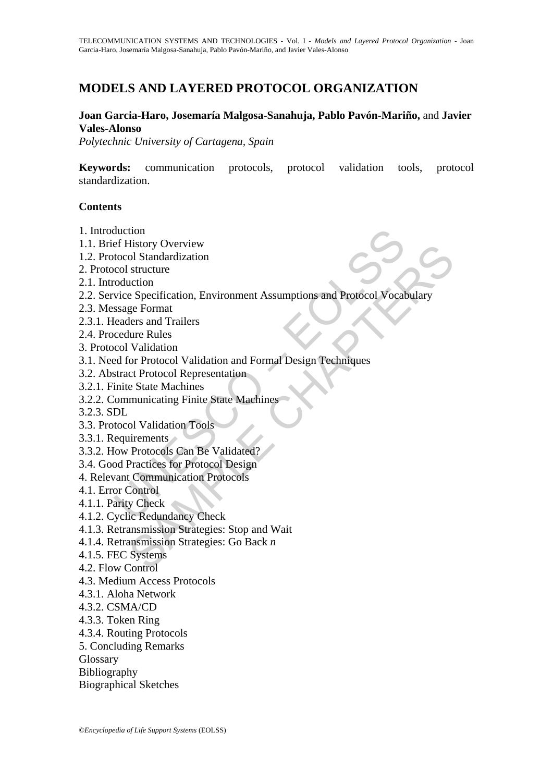# **MODELS AND LAYERED PROTOCOL ORGANIZATION**

#### **Joan Garcia-Haro, Josemaría Malgosa-Sanahuja, Pablo Pavón-Mariño,** and **Javier Vales-Alonso**

*Polytechnic University of Cartagena, Spain* 

**Keywords:** communication protocols, protocol validation tools, protocol standardization.

#### **Contents**

- 1. Introduction
- 1.1. Brief History Overview
- 1.2. Protocol Standardization
- 2. Protocol structure
- 2.1. Introduction
- duction<br>
ef History Overview<br>
cool Standardization<br>
cool structure<br>
coluction<br>
vice Specification, Environment Assumptions and Protocol Vocal<br>
ssage Format<br>
cedure Rules<br>
col Validation<br>
ed for Protocol Validation<br>
and For This<br>ory Overview<br>of Standardization<br>structure<br>especification, Environment Assumptions and Protocol Vocabulary<br>validation<br>validation<br>or Protocol Validation<br>of Protocol Representation<br>estate Machines<br>of Protocol Representat 2.2. Service Specification, Environment Assumptions and Protocol Vocabulary
- 2.3. Message Format
- 2.3.1. Headers and Trailers
- 2.4. Procedure Rules
- 3. Protocol Validation
- 3.1. Need for Protocol Validation and Formal Design Techniques
- 3.2. Abstract Protocol Representation
- 3.2.1. Finite State Machines
- 3.2.2. Communicating Finite State Machines
- 3.2.3. SDL
- 3.3. Protocol Validation Tools
- 3.3.1. Requirements
- 3.3.2. How Protocols Can Be Validated?
- 3.4. Good Practices for Protocol Design
- 4. Relevant Communication Protocols
- 4.1. Error Control
- 4.1.1. Parity Check
- 4.1.2. Cyclic Redundancy Check
- 4.1.3. Retransmission Strategies: Stop and Wait
- 4.1.4. Retransmission Strategies: Go Back *n*
- 4.1.5. FEC Systems
- 4.2. Flow Control
- 4.3. Medium Access Protocols
- 4.3.1. Aloha Network
- 4.3.2. CSMA/CD
- 4.3.3. Token Ring
- 4.3.4. Routing Protocols
- 5. Concluding Remarks
- **Glossary**
- Bibliography
- Biographical Sketches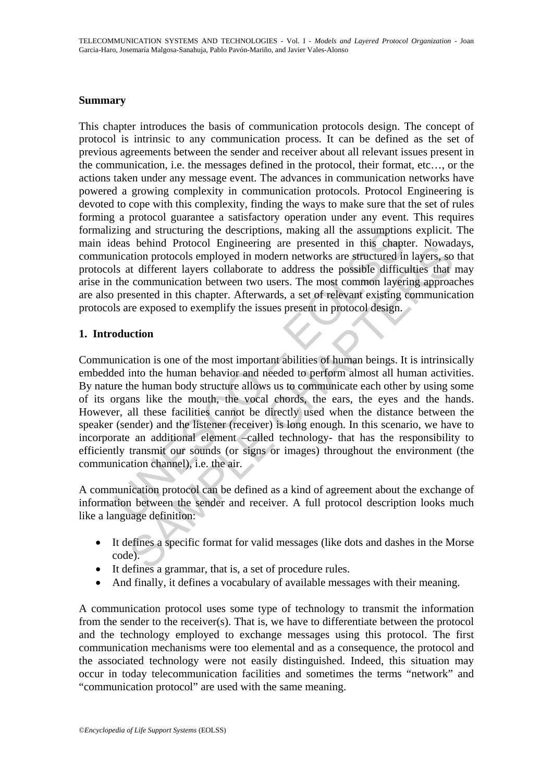#### **Summary**

This chapter introduces the basis of communication protocols design. The concept of protocol is intrinsic to any communication process. It can be defined as the set of previous agreements between the sender and receiver about all relevant issues present in the communication, i.e. the messages defined in the protocol, their format, etc…, or the actions taken under any message event. The advances in communication networks have powered a growing complexity in communication protocols. Protocol Engineering is devoted to cope with this complexity, finding the ways to make sure that the set of rules forming a protocol guarantee a satisfactory operation under any event. This requires formalizing and structuring the descriptions, making all the assumptions explicit. The main ideas behind Protocol Engineering are presented in this chapter. Nowadays, communication protocols employed in modern networks are structured in layers, so that protocols at different layers collaborate to address the possible difficulties that may arise in the communication between two users. The most common layering approaches are also presented in this chapter. Afterwards, a set of relevant existing communication protocols are exposed to exemplify the issues present in protocol design.

### **1. Introduction**

zing and structuring the descriptions, making all the assumption<br>leas behind Protocol Engineering are presented in this chapt<br>nication protocols employed in modern networks are structured in<br>lis at different layers collabo seeman Protocol emplerent are preseneu in inst can<br>ation protocols employed in modern networks are structured in layers, so<br>at different layers collaborate to address the possible difficulties that<br>communication between tw Communication is one of the most important abilities of human beings. It is intrinsically embedded into the human behavior and needed to perform almost all human activities. By nature the human body structure allows us to communicate each other by using some of its organs like the mouth, the vocal chords, the ears, the eyes and the hands. However, all these facilities cannot be directly used when the distance between the speaker (sender) and the listener (receiver) is long enough. In this scenario, we have to incorporate an additional element –called technology- that has the responsibility to efficiently transmit our sounds (or signs or images) throughout the environment (the communication channel), i.e. the air.

A communication protocol can be defined as a kind of agreement about the exchange of information between the sender and receiver. A full protocol description looks much like a language definition:

- It defines a specific format for valid messages (like dots and dashes in the Morse code).
- It defines a grammar, that is, a set of procedure rules.
- And finally, it defines a vocabulary of available messages with their meaning.

A communication protocol uses some type of technology to transmit the information from the sender to the receiver(s). That is, we have to differentiate between the protocol and the technology employed to exchange messages using this protocol. The first communication mechanisms were too elemental and as a consequence, the protocol and the associated technology were not easily distinguished. Indeed, this situation may occur in today telecommunication facilities and sometimes the terms "network" and "communication protocol" are used with the same meaning.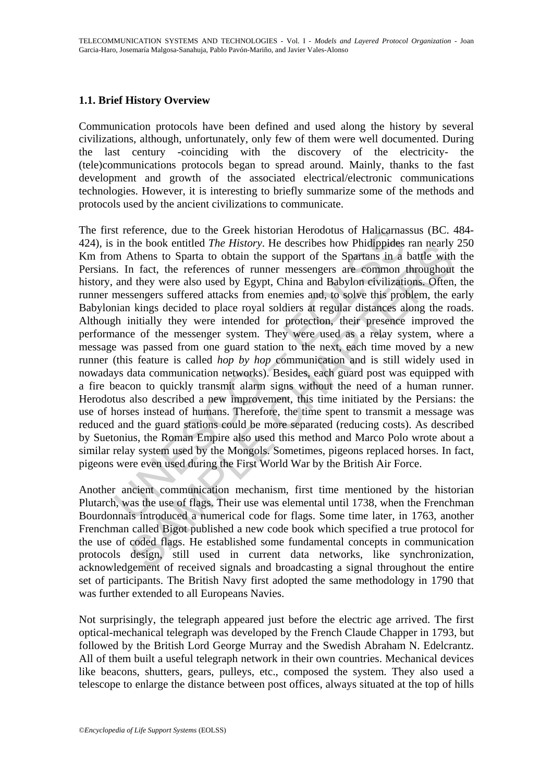# **1.1. Brief History Overview**

Communication protocols have been defined and used along the history by several civilizations, although, unfortunately, only few of them were well documented. During the last century -coinciding with the discovery of the electricity- the (tele)communications protocols began to spread around. Mainly, thanks to the fast development and growth of the associated electrical/electronic communications technologies. However, it is interesting to briefly summarize some of the methods and protocols used by the ancient civilizations to communicate.

is reference, due to the Greek historian Herodotus of Halicarnas<br>in the book entitled *The History*. He describes how Phidippides<br>in m Athens to Sparta to obtain the support of the Spartans in a<br>s. In fact, the references me book entured *ine mistrory*. He describes fow Pindeppies ran nearly<br>Adhens to Sparta to obtain the support of the Spartans in a battle with<br>n fact, the references of runner messengers are common throughout<br>d they were The first reference, due to the Greek historian Herodotus of Halicarnassus (BC. 484- 424), is in the book entitled *The History*. He describes how Phidippides ran nearly 250 Km from Athens to Sparta to obtain the support of the Spartans in a battle with the Persians. In fact, the references of runner messengers are common throughout the history, and they were also used by Egypt, China and Babylon civilizations. Often, the runner messengers suffered attacks from enemies and, to solve this problem, the early Babylonian kings decided to place royal soldiers at regular distances along the roads. Although initially they were intended for protection, their presence improved the performance of the messenger system. They were used as a relay system, where a message was passed from one guard station to the next, each time moved by a new runner (this feature is called *hop by hop* communication and is still widely used in nowadays data communication networks). Besides, each guard post was equipped with a fire beacon to quickly transmit alarm signs without the need of a human runner. Herodotus also described a new improvement, this time initiated by the Persians: the use of horses instead of humans. Therefore, the time spent to transmit a message was reduced and the guard stations could be more separated (reducing costs). As described by Suetonius, the Roman Empire also used this method and Marco Polo wrote about a similar relay system used by the Mongols. Sometimes, pigeons replaced horses. In fact, pigeons were even used during the First World War by the British Air Force.

Another ancient communication mechanism, first time mentioned by the historian Plutarch, was the use of flags. Their use was elemental until 1738, when the Frenchman Bourdonnais introduced a numerical code for flags. Some time later, in 1763, another Frenchman called Bigot published a new code book which specified a true protocol for the use of coded flags. He established some fundamental concepts in communication protocols design, still used in current data networks, like synchronization, acknowledgement of received signals and broadcasting a signal throughout the entire set of participants. The British Navy first adopted the same methodology in 1790 that was further extended to all Europeans Navies.

Not surprisingly, the telegraph appeared just before the electric age arrived. The first optical-mechanical telegraph was developed by the French Claude Chapper in 1793, but followed by the British Lord George Murray and the Swedish Abraham N. Edelcrantz. All of them built a useful telegraph network in their own countries. Mechanical devices like beacons, shutters, gears, pulleys, etc., composed the system. They also used a telescope to enlarge the distance between post offices, always situated at the top of hills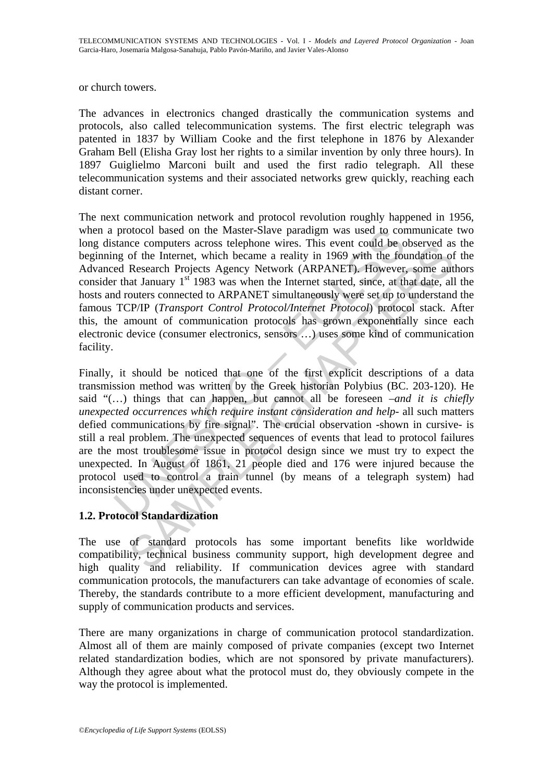or church towers.

The advances in electronics changed drastically the communication systems and protocols, also called telecommunication systems. The first electric telegraph was patented in 1837 by William Cooke and the first telephone in 1876 by Alexander Graham Bell (Elisha Gray lost her rights to a similar invention by only three hours). In 1897 Guiglielmo Marconi built and used the first radio telegraph. All these telecommunication systems and their associated networks grew quickly, reaching each distant corner.

The next communication network and protocol revolution roughly happened in 1956, when a protocol based on the Master-Slave paradigm was used to communicate two long distance computers across telephone wires. This event could be observed as the beginning of the Internet, which became a reality in 1969 with the foundation of the Advanced Research Projects Agency Network (ARPANET). However, some authors consider that January  $1<sup>st</sup>$  1983 was when the Internet started, since, at that date, all the hosts and routers connected to ARPANET simultaneously were set up to understand the famous TCP/IP (*Transport Control Protocol/Internet Protocol*) protocol stack. After this, the amount of communication protocols has grown exponentially since each electronic device (consumer electronics, sensors …) uses some kind of communication facility.

protocol based on the Master-Slave paradigm was used to cor<br>stance computers across telephone wires. This event could be ong of the Internet, which became a reality in 1969 with the fou<br>ed Research Projects Agency Network E computers across telephone wires. In is even count one observed as<br>of the Internet, which became a reality in 1969 with the foundation of<br>Research Projects Agency Network (ARPANET). However, some ant<br>at January 1<sup>st</sup> 198 Finally, it should be noticed that one of the first explicit descriptions of a data transmission method was written by the Greek historian Polybius (BC. 203-120). He said "(…) things that can happen, but cannot all be foreseen –*and it is chiefly unexpected occurrences which require instant consideration and help*- all such matters defied communications by fire signal". The crucial observation -shown in cursive- is still a real problem. The unexpected sequences of events that lead to protocol failures are the most troublesome issue in protocol design since we must try to expect the unexpected. In August of 1861, 21 people died and 176 were injured because the protocol used to control a train tunnel (by means of a telegraph system) had inconsistencies under unexpected events.

# **1.2. Protocol Standardization**

The use of standard protocols has some important benefits like worldwide compatibility, technical business community support, high development degree and high quality and reliability. If communication devices agree with standard communication protocols, the manufacturers can take advantage of economies of scale. Thereby, the standards contribute to a more efficient development, manufacturing and supply of communication products and services.

There are many organizations in charge of communication protocol standardization. Almost all of them are mainly composed of private companies (except two Internet related standardization bodies, which are not sponsored by private manufacturers). Although they agree about what the protocol must do, they obviously compete in the way the protocol is implemented.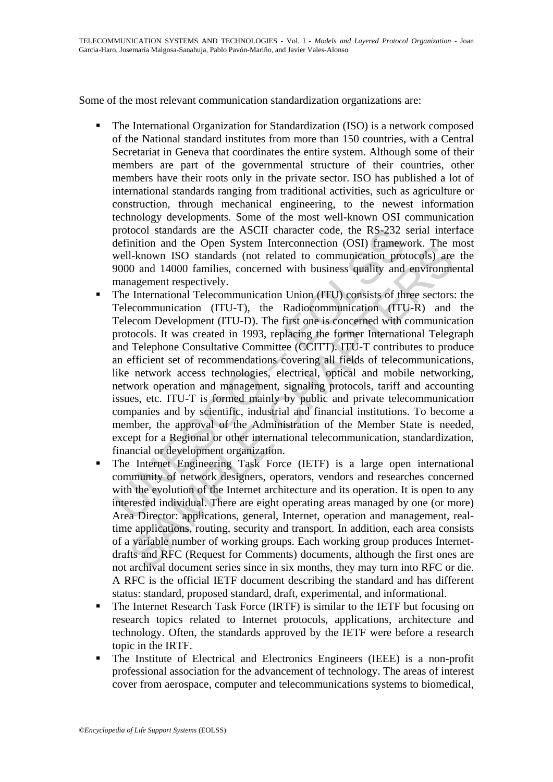Some of the most relevant communication standardization organizations are:

- The International Organization for Standardization (ISO) is a network composed of the National standard institutes from more than 150 countries, with a Central Secretariat in Geneva that coordinates the entire system. Although some of their members are part of the governmental structure of their countries, other members have their roots only in the private sector. ISO has published a lot of international standards ranging from traditional activities, such as agriculture or construction, through mechanical engineering, to the newest information technology developments. Some of the most well-known OSI communication protocol standards are the ASCII character code, the RS-232 serial interface definition and the Open System Interconnection (OSI) framework. The most well-known ISO standards (not related to communication protocols) are the 9000 and 14000 families, concerned with business quality and environmental management respectively.
- protocol standards are the ASCII character code, the RS-232<br>definition and the Open System Interconnection (OSI) framew<br>well-known ISO standards (not related to communication protonom ISO standards (not related to communic mutuon and the Open system intercumentation (OSI) ratanewolk. The UP and H-hown ISO standards (not related to communication protocols) are<br>0 and 14000 families, concerned with business quality and environme<br>agement respect The International Telecommunication Union (ITU) consists of three sectors: the Telecommunication (ITU-T), the Radiocommunication (ITU-R) and the Telecom Development (ITU-D). The first one is concerned with communication protocols. It was created in 1993, replacing the former International Telegraph and Telephone Consultative Committee (CCITT). ITU-T contributes to produce an efficient set of recommendations covering all fields of telecommunications, like network access technologies, electrical, optical and mobile networking, network operation and management, signaling protocols, tariff and accounting issues, etc. ITU-T is formed mainly by public and private telecommunication companies and by scientific, industrial and financial institutions. To become a member, the approval of the Administration of the Member State is needed, except for a Regional or other international telecommunication, standardization, financial or development organization.
- The Internet Engineering Task Force (IETF) is a large open international community of network designers, operators, vendors and researches concerned with the evolution of the Internet architecture and its operation. It is open to any interested individual. There are eight operating areas managed by one (or more) Area Director: applications, general, Internet, operation and management, realtime applications, routing, security and transport. In addition, each area consists of a variable number of working groups. Each working group produces Internetdrafts and RFC (Request for Comments) documents, although the first ones are not archival document series since in six months, they may turn into RFC or die. A RFC is the official IETF document describing the standard and has different status: standard, proposed standard, draft, experimental, and informational.
- The Internet Research Task Force (IRTF) is similar to the IETF but focusing on research topics related to Internet protocols, applications, architecture and technology. Often, the standards approved by the IETF were before a research topic in the IRTF.
- The Institute of Electrical and Electronics Engineers (IEEE) is a non-profit professional association for the advancement of technology. The areas of interest cover from aerospace, computer and telecommunications systems to biomedical,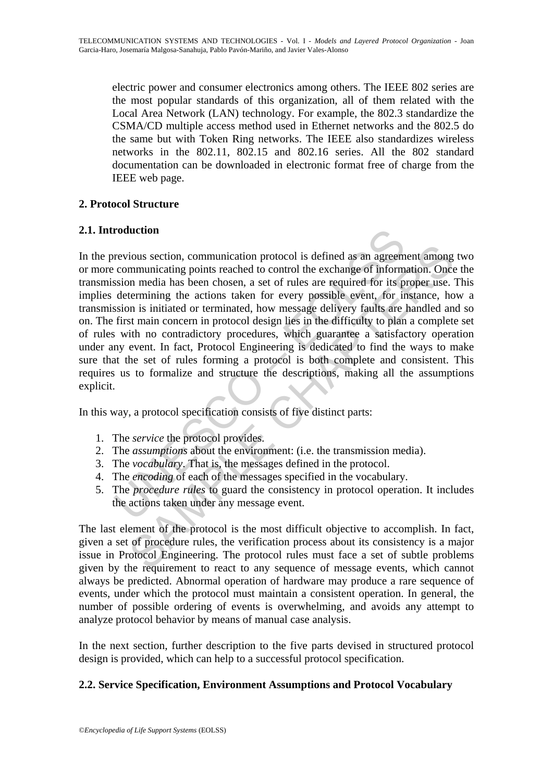electric power and consumer electronics among others. The IEEE 802 series are the most popular standards of this organization, all of them related with the Local Area Network (LAN) technology. For example, the 802.3 standardize the CSMA/CD multiple access method used in Ethernet networks and the 802.5 do the same but with Token Ring networks. The IEEE also standardizes wireless networks in the 802.11, 802.15 and 802.16 series. All the 802 standard documentation can be downloaded in electronic format free of charge from the IEEE web page.

# **2. Protocol Structure**

# **2.1. Introduction**

roduction<br>revious section, communication protocol is defined as an agreem<br>communicating points reached to control the exchange of inform<br>ssion media has been chosen, a set of rules are required for its p<br>determining the ac ious section, communication protocol is defined as an agreement among<br>mmunicating points reached to control the exchange of information. Once<br>no media has been chosen, a set of rules are required for its proper use.<br>Yeterm In the previous section, communication protocol is defined as an agreement among two or more communicating points reached to control the exchange of information. Once the transmission media has been chosen, a set of rules are required for its proper use. This implies determining the actions taken for every possible event, for instance, how a transmission is initiated or terminated, how message delivery faults are handled and so on. The first main concern in protocol design lies in the difficulty to plan a complete set of rules with no contradictory procedures, which guarantee a satisfactory operation under any event. In fact, Protocol Engineering is dedicated to find the ways to make sure that the set of rules forming a protocol is both complete and consistent. This requires us to formalize and structure the descriptions, making all the assumptions explicit.

In this way, a protocol specification consists of five distinct parts:

- 1. The *service* the protocol provides.
- 2. The *assumptions* about the environment: (i.e. the transmission media).
- 3. The *vocabulary*. That is, the messages defined in the protocol.
- 4. The *encoding* of each of the messages specified in the vocabulary.
- 5. The *procedure rules* to guard the consistency in protocol operation. It includes the actions taken under any message event.

The last element of the protocol is the most difficult objective to accomplish. In fact, given a set of procedure rules, the verification process about its consistency is a major issue in Protocol Engineering. The protocol rules must face a set of subtle problems given by the requirement to react to any sequence of message events, which cannot always be predicted. Abnormal operation of hardware may produce a rare sequence of events, under which the protocol must maintain a consistent operation. In general, the number of possible ordering of events is overwhelming, and avoids any attempt to analyze protocol behavior by means of manual case analysis.

In the next section, further description to the five parts devised in structured protocol design is provided, which can help to a successful protocol specification.

# **2.2. Service Specification, Environment Assumptions and Protocol Vocabulary**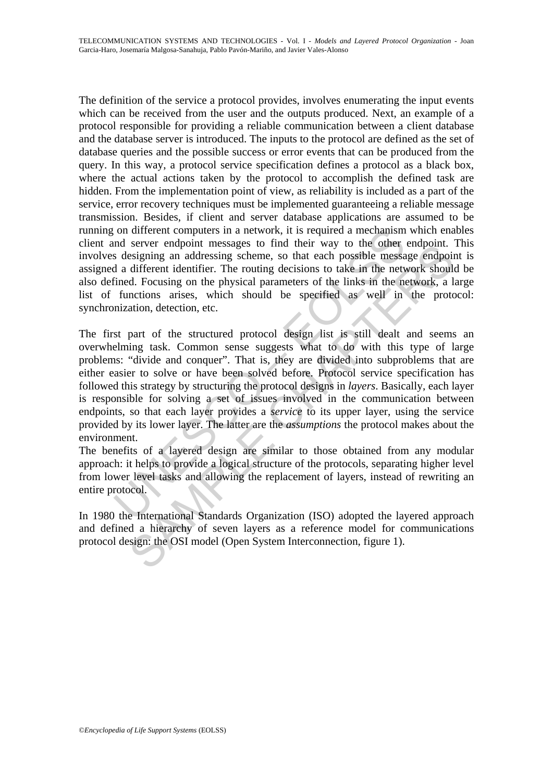The definition of the service a protocol provides, involves enumerating the input events which can be received from the user and the outputs produced. Next, an example of a protocol responsible for providing a reliable communication between a client database and the database server is introduced. The inputs to the protocol are defined as the set of database queries and the possible success or error events that can be produced from the query. In this way, a protocol service specification defines a protocol as a black box, where the actual actions taken by the protocol to accomplish the defined task are hidden. From the implementation point of view, as reliability is included as a part of the service, error recovery techniques must be implemented guaranteeing a reliable message transmission. Besides, if client and server database applications are assumed to be running on different computers in a network, it is required a mechanism which enables client and server endpoint messages to find their way to the other endpoint. This involves designing an addressing scheme, so that each possible message endpoint is assigned a different identifier. The routing decisions to take in the network should be also defined. Focusing on the physical parameters of the links in the network, a large list of functions arises, which should be specified as well in the protocol: synchronization, detection, etc.

on different computers in a network, it is required a mechanism<br>and server endpoint messages to find their way to the other<br>decisions decisions of the contracted a different identifier. The routing decisions to take in the sexie endopominenssage to mutual way to the outer endopominent message endopions<br>essigning an addressing scheme, so that each possible message endpoint<br>different identifier. The routing decisions to take in the network sho The first part of the structured protocol design list is still dealt and seems an overwhelming task. Common sense suggests what to do with this type of large problems: "divide and conquer". That is, they are divided into subproblems that are either easier to solve or have been solved before. Protocol service specification has followed this strategy by structuring the protocol designs in *layers*. Basically, each layer is responsible for solving a set of issues involved in the communication between endpoints, so that each layer provides a *service* to its upper layer, using the service provided by its lower layer. The latter are the *assumptions* the protocol makes about the environment.

The benefits of a layered design are similar to those obtained from any modular approach: it helps to provide a logical structure of the protocols, separating higher level from lower level tasks and allowing the replacement of layers, instead of rewriting an entire protocol.

In 1980 the International Standards Organization (ISO) adopted the layered approach and defined a hierarchy of seven layers as a reference model for communications protocol design: the OSI model (Open System Interconnection, figure 1).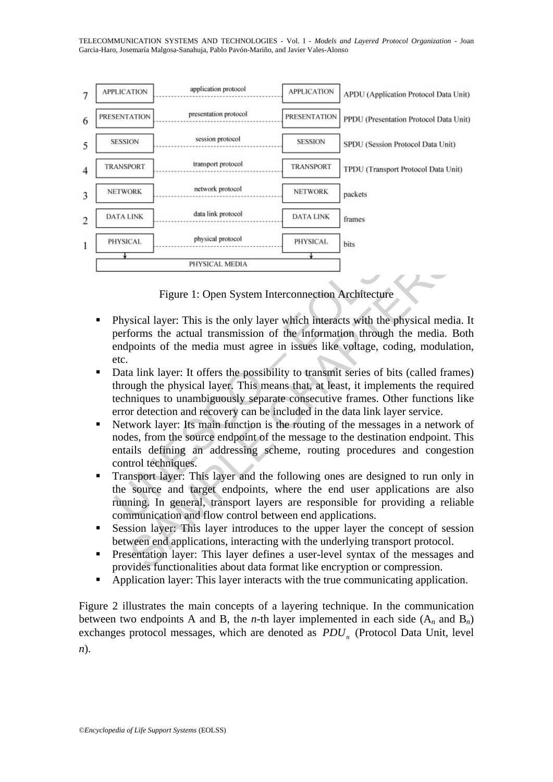TELECOMMUNICATION SYSTEMS AND TECHNOLOGIES - Vol. I - *Models and Layered Protocol Organization* - Joan Garcia-Haro, Josemaría Malgosa-Sanahuja, Pablo Pavón-Mariño, and Javier Vales-Alonso



Figure 1: Open System Interconnection Architecture

- Physical layer: This is the only layer which interacts with the physical media. It performs the actual transmission of the information through the media. Both endpoints of the media must agree in issues like voltage, coding, modulation, etc.
- Data link layer: It offers the possibility to transmit series of bits (called frames) through the physical layer. This means that, at least, it implements the required techniques to unambiguously separate consecutive frames. Other functions like error detection and recovery can be included in the data link layer service.
- FRIVISICAL MEDIA<br>
FRIGHTERS PRIVISICAL MEDIA<br>
FIGURE 1: Open System Interconnection Architecture<br>
Sical layer: This is the only layer which interacts with the physical medi<br>
forms the actual transmission of the information Network layer: Its main function is the routing of the messages in a network of nodes, from the source endpoint of the message to the destination endpoint. This entails defining an addressing scheme, routing procedures and congestion control techniques.
- Transport layer: This layer and the following ones are designed to run only in the source and target endpoints, where the end user applications are also running. In general, transport layers are responsible for providing a reliable communication and flow control between end applications.
- Session layer: This layer introduces to the upper layer the concept of session between end applications, interacting with the underlying transport protocol.
- Presentation layer: This layer defines a user-level syntax of the messages and provides functionalities about data format like encryption or compression.
- Application layer: This layer interacts with the true communicating application.

Figure 2 illustrates the main concepts of a layering technique. In the communication between two endpoints A and B, the *n*-th layer implemented in each side  $(A_n$  and  $B_n)$ exchanges protocol messages, which are denoted as *PDU<sub>n</sub>* (Protocol Data Unit, level *n*).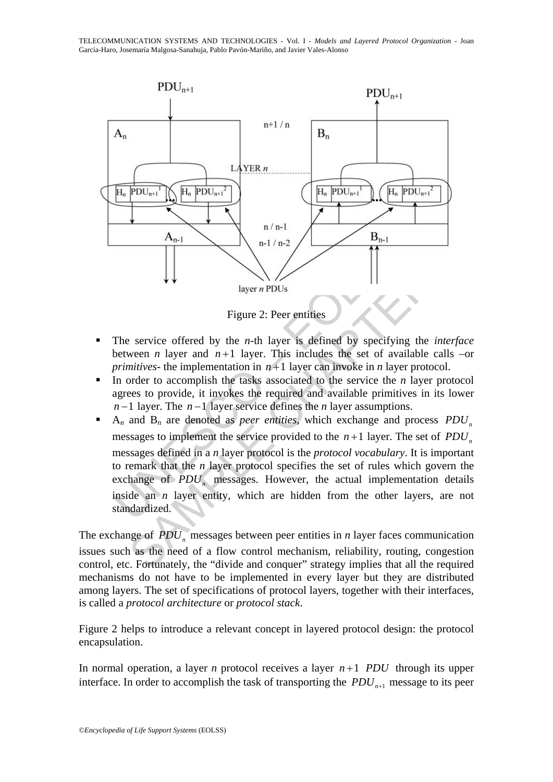TELECOMMUNICATION SYSTEMS AND TECHNOLOGIES - Vol. I - *Models and Layered Protocol Organization* - Joan Garcia-Haro, Josemaría Malgosa-Sanahuja, Pablo Pavón-Mariño, and Javier Vales-Alonso



Figure 2: Peer entities

- The service offered by the *n*-th layer is defined by specifying the *interface*  between *n* layer and  $n+1$  layer. This includes the set of available calls –or *primitives*- the implementation in  $n+1$  layer can invoke in *n* layer protocol.
- In order to accomplish the tasks associated to the service the *n* layer protocol agrees to provide, it invokes the required and available primitives in its lower *n* −1 layer. The *n* −1 layer service defines the *n* layer assumptions.
- A<sub>n-1</sub><br>
H<sub>n-1</sub> n-1/n-2<br>
H<sub>n-1</sub> n-1/n-2<br>
H<sub>n-1</sub> n-1/n-2<br>
H<sub>n-1</sub> n-1/n-2<br>
H<sub>n-1</sub><br>
H<sub>n-1</sub> n-2<br>
H<sub>n-1</sub> n-2<br>
H<sub>n-1</sub> n-2<br>
H<sub>n-1</sub> n-2<br>
H<sub>n-1</sub><br>
H<sub>n-1</sub> n-2<br>
H<sub>n-1</sub><br>
H<sub>n-1</sub><br>
H<sub>n-1</sub><br>
H<sub>n-1</sub><br>
H<sub>n-1</sub><br>
H<sub>n-1</sub><br>
H<sub>n-1</sub><br>
H<sub>n-1</sub><br>
H<sub>n-1</sub><br>
H Figure 2: Peer entities<br>
Figure 2: Peer entities<br>
Figure 2: Peer entities<br>
exervice offered by the *n*-th layer is defined by specifying the *inter*<br>
ween *n* layer and  $n+1$  layer. This includes the set of available call  $A_n$  and  $B_n$  are denoted as *peer entities*, which exchange and process  $PDU_n$ messages to implement the service provided to the  $n+1$  layer. The set of  $PDU_n$ messages defined in a *n* layer protocol is the *protocol vocabulary*. It is important to remark that the *n* layer protocol specifies the set of rules which govern the exchange of  $PDU$ <sub>n</sub> messages. However, the actual implementation details inside an *n* layer entity, which are hidden from the other layers, are not standardized.

The exchange of  $PDU$ <sub>n</sub> messages between peer entities in *n* layer faces communication issues such as the need of a flow control mechanism, reliability, routing, congestion control, etc. Fortunately, the "divide and conquer" strategy implies that all the required mechanisms do not have to be implemented in every layer but they are distributed among layers. The set of specifications of protocol layers, together with their interfaces, is called a *protocol architecture* or *protocol stack*.

Figure 2 helps to introduce a relevant concept in layered protocol design: the protocol encapsulation.

In normal operation, a layer *n* protocol receives a layer *n* +1 *PDU* through its upper interface. In order to accomplish the task of transporting the  $PDU_{n+1}$  message to its peer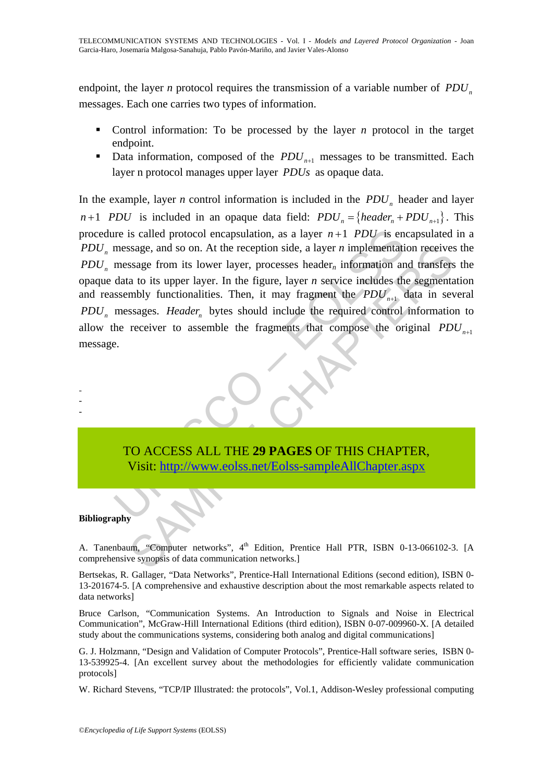endpoint, the layer *n* protocol requires the transmission of a variable number of *PDU*<sub>n</sub> messages. Each one carries two types of information.

- Control information: To be processed by the layer *n* protocol in the target endpoint.
- Data information, composed of the  $PDU_{n+1}$  messages to be transmitted. Each layer n protocol manages upper layer *PDUs* as opaque data.

The is called protocol encapsulation, as a layer  $n+1$  *PDU* is encomposing equals to on. At the reception side, a layer  $n$  implementation encapsulation is lower layer, processes header<sub>n</sub> information and data to its upp ssage, and so on. At the reception side, a layer *n* implementation receives<br>ssage from its lower layer, processes header, information and transfers<br>a to its upper layer. In the figure, layer *n* service includes the segme In the example, layer *n* control information is included in the  $PDU$ <sub>n</sub> header and layer  $n+1$  *PDU* is included in an opaque data field:  $PDU_n = \{header_n + PDU_{n+1}\}$ . This procedure is called protocol encapsulation, as a layer  $n+1$  *PDU* is encapsulated in a *PDU<sub>n</sub>* message, and so on. At the reception side, a layer *n* implementation receives the  $PDU$ <sub>n</sub> message from its lower layer, processes header<sub>n</sub> information and transfers the opaque data to its upper layer. In the figure, layer *n* service includes the segmentation and reassembly functionalities. Then, it may fragment the  $PDU_{n+1}$  data in several *PDU<sub>n</sub>* messages. *Header<sub>n</sub>* bytes should include the required control information to allow the receiver to assemble the fragments that compose the original  $PDU_{n+1}$ message.



#### **Bibliography**

- - -

A. Tanenbaum, "Computer networks", 4<sup>th</sup> Edition, Prentice Hall PTR, ISBN 0-13-066102-3. [A comprehensive synopsis of data communication networks.]

Bertsekas, R. Gallager, "Data Networks", Prentice-Hall International Editions (second edition), ISBN 0- 13-201674-5. [A comprehensive and exhaustive description about the most remarkable aspects related to data networks]

Bruce Carlson, "Communication Systems. An Introduction to Signals and Noise in Electrical Communication", McGraw-Hill International Editions (third edition), ISBN 0-07-009960-X. [A detailed study about the communications systems, considering both analog and digital communications]

G. J. Holzmann, "Design and Validation of Computer Protocols", Prentice-Hall software series, ISBN 0- 13-539925-4. [An excellent survey about the methodologies for efficiently validate communication protocols]

W. Richard Stevens, "TCP/IP Illustrated: the protocols", Vol.1, Addison-Wesley professional computing